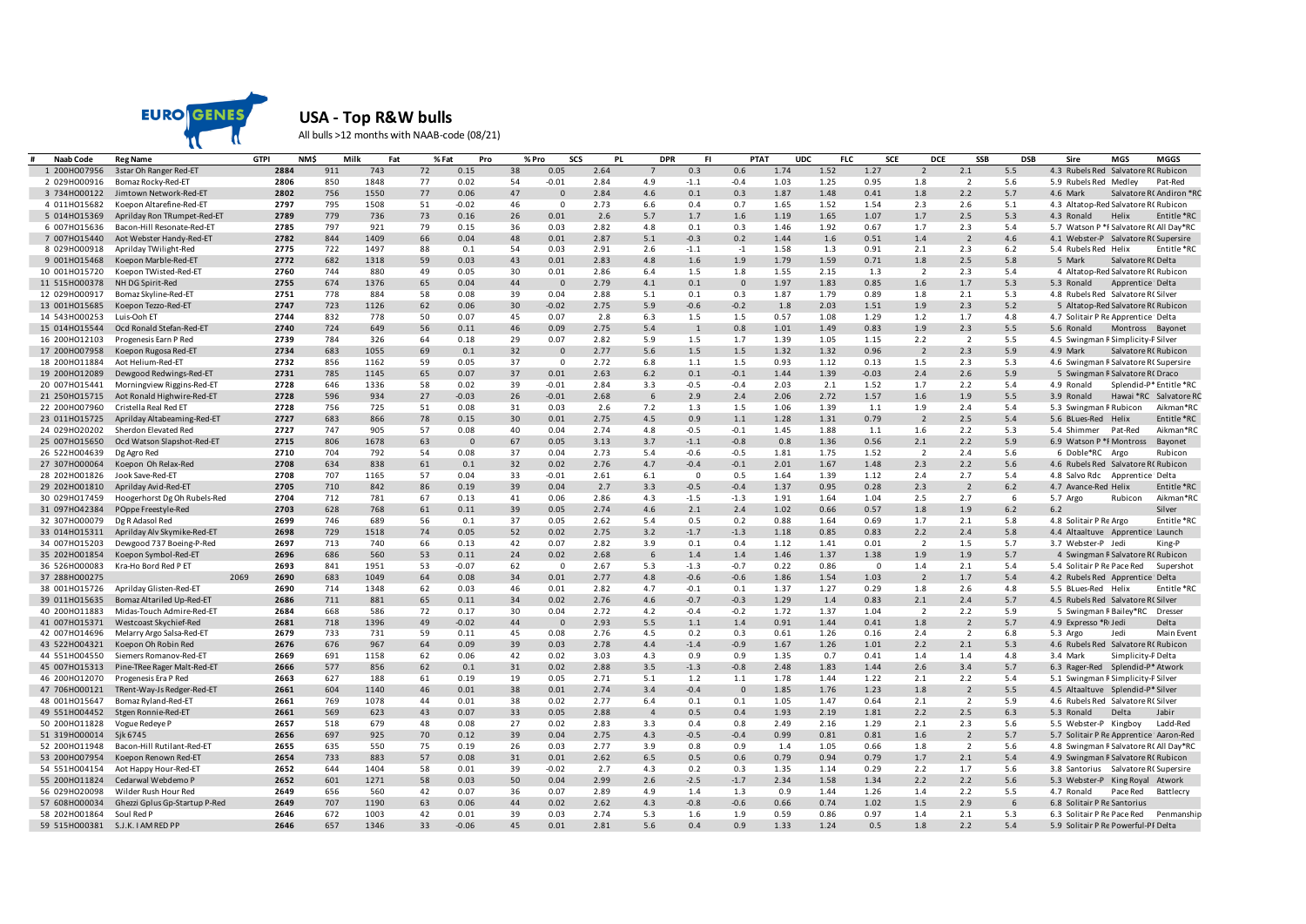

**USA - Top R&W bulls**

All bulls >12 months with NAAB-code (08/21)

| # | <b>Naab Code</b> | <b>Reg Name</b>                           | NM\$<br><b>GTPI</b> | Milk | Fat  |    | % Fat<br>Pro   |    | % Pro<br>SCS | PL   | <b>DPR</b>     | -FI          | <b>PTAT</b>  | <b>UDC</b> | FLC  | SCE         | DCE                      | SSB            | <b>DSB</b> | Sire                                           | MGS                                | MGGS                     |
|---|------------------|-------------------------------------------|---------------------|------|------|----|----------------|----|--------------|------|----------------|--------------|--------------|------------|------|-------------|--------------------------|----------------|------------|------------------------------------------------|------------------------------------|--------------------------|
|   | 1 200HO07956     | 3star Oh Ranger Red-ET                    | 2884                | 911  | 743  | 72 | 0.15           | 38 | 0.05         | 2.64 |                | 0.3          | 0.6          | 1.74       | 1.52 | 1.27        | $\overline{\phantom{0}}$ | 2.1            | 5.5        | 4.3 Rubels Red Salvatore RC Rubicon            |                                    |                          |
|   | 2 029HO00916     | Bomaz Rocky-Red-ET                        | 2806                | 850  | 1848 | 77 | 0.02           | 54 | $-0.01$      | 2.84 | 4.9            | $-1.1$       | $-0.4$       | 1.03       | 1.25 | 0.95        | 1.8                      | $\overline{2}$ | 5.6        | 5.9 Rubels Red Medley                          |                                    | Pat-Red                  |
|   | 3 734HO00122     | Jimtown Network-Red-ET                    | 2802                | 756  | 1550 | 77 | 0.06           | 47 | $\Omega$     | 2.84 | 4.6            | 0.1          | 0.3          | 1.87       | 1.48 | 0.41        | 1.8                      | 2.2            | 5.7        | 4.6 Mark                                       |                                    | Salvatore RC Andiron *RC |
|   | 4 011HO15682     | Koepon Altarefine-Red-ET                  | 2797                | 795  | 1508 | 51 | $-0.02$        | 46 | $\mathbf 0$  | 2.73 | 6.6            | 0.4          | 0.7          | 1.65       | 1.52 | 1.54        | 2.3                      | 2.6            | 5.1        | 4.3 Altatop-Red Salvatore RC Rubicon           |                                    |                          |
|   | 5 014HO15369     | Aprilday Ron TRumpet-Red-ET               | 2789                | 779  | 736  | 73 | 0.16           | 26 | 0.01         | 2.6  | 5.7            | 1.7          | 1.6          | 1.19       | 1.65 | 1.07        | 1.7                      | 2.5            | 5.3        | 4.3 Ronald                                     | Helix                              | Entitle *RO              |
|   | 6 007HO15636     | Bacon-Hill Resonate-Red-ET                | 2785                | 797  | 921  | 79 | 0.15           | 36 | 0.03         | 2.82 | 4.8            | 0.1          | 0.3          | 1.46       | 1.92 | 0.67        | 1.7                      | 2.3            | 5.4        | 5.7 Watson P *F Salvatore RC All Day*RC        |                                    |                          |
|   | 7 007HO15440     | Aot Webster Handy-Red-ET                  | 2782                | 844  | 1409 | 66 | 0.04           | 48 | 0.01         | 2.87 | 5.1            | $-0.3$       | 0.2          | 1.44       | 1.6  | 0.51        | 1.4                      | $\overline{2}$ | 4.6        | 4.1 Webster-P Salvatore RC Supersire           |                                    |                          |
|   | 8 029HO00918     | Aprilday TWilight-Red                     | 2775                | 722  | 1497 | 88 | 0.1            | 54 | 0.03         | 2.91 | 2.6            | $-1.1$       | $-1$         | 1.58       | 1.3  | 0.91        | 2.1                      | 2.3            | 6.2        | 5.4 Rubels Red Helix                           |                                    | Entitle *RC              |
|   | 9 001HO15468     | Koepon Marble-Red-ET                      | 2772                | 682  | 1318 | 59 | 0.03           | 43 | 0.01         | 2.83 | 4.8            | 1.6          | 1.9          | 1.79       | 1.59 | 0.71        | 1.8                      | 2.5            | 5.8        | 5 Mark                                         | Salvatore RC Delta                 |                          |
|   | 10 001HO15720    | Koepon TWisted-Red-ET                     | 2760                | 744  | 880  | 49 | 0.05           | 30 | 0.01         | 2.86 | 6.4            | 1.5          | 1.8          | 1.55       | 2.15 | 1.3         | $\overline{2}$           | 2.3            | 5.4        |                                                | 4 Altatop-Red Salvatore RC Rubicon |                          |
|   | 11 515HO00378    | NH DG Spirit-Red                          | 2755                | 674  | 1376 | 65 | 0.04           | 44 | $\Omega$     | 2.79 | 4.1            | 0.1          | $\Omega$     | 1.97       | 1.83 | 0.85        | 1.6                      | 1.7            | 5.3        | 5.3 Ronald                                     | Apprentice 'Delta                  |                          |
|   | 12 029HO00917    | Bomaz Skyline-Red-ET                      | 2751                | 778  | 884  | 58 | 0.08           | 39 | 0.04         | 2.88 | 5.1            | 0.1          | 0.3          | 1.87       | 1.79 | 0.89        | 1.8                      | 2.1            | 5.3        | 4.8 Rubels Red Salvatore RC Silver             |                                    |                          |
|   | 13 001HO15685    | Koepon Tezzo-Red-ET                       | 2747                | 723  | 1126 | 62 | 0.06           | 30 | $-0.02$      | 2.75 | 5.9            | $-0.6$       | $-0.2$       | 1.8        | 2.03 | 1.51        | 1.9                      | 2.3            | $5.2$      |                                                | 5 Altatop-Red Salvatore RC Rubicon |                          |
|   | 14 543HO00253    | Luis-Ooh ET                               | 2744                | 832  | 778  | 50 | 0.07           | 45 | 0.07         | 2.8  | 6.3            | 1.5          | 1.5          | 0.57       | 1.08 | 1.29        | 1.2                      | 1.7            | 4.8        | 4.7 Solitair P Re Apprentice 'Delta            |                                    |                          |
|   | 15 014HO15544    | Ocd Ronald Stefan-Red-ET                  | 2740                | 724  | 649  | 56 | 0.11           | 46 | 0.09         | 2.75 | 5.4            | $\mathbf{1}$ | 0.8          | 1.01       | 1.49 | 0.83        | 1.9                      | 2.3            | 5.5        | 5.6 Ronald                                     | Montross Bayonet                   |                          |
|   |                  |                                           | 2739                | 784  | 326  | 64 | 0.18           | 29 | 0.07         | 2.82 | 5.9            | 1.5          | 1.7          | 1.39       | 1.05 | 1.15        | 2.2                      | $\overline{2}$ | 5.5        |                                                |                                    |                          |
|   | 16 200HO12103    | Progenesis Earn P Red                     | 2734                |      |      | 69 |                | 32 | $\Omega$     | 2.77 | 5.6            | 1.5          | 1.5          | 1.32       | 1.32 | 0.96        | $\overline{2}$           | 2.3            | 5.9        | 4.5 Swingman R Simplicity-P Silver<br>4.9 Mark |                                    |                          |
|   | 17 200HO07958    | Koepon Rugosa Red-ET                      |                     | 683  | 1055 |    | 0.1            |    | $\Omega$     |      |                |              |              |            |      |             |                          |                |            |                                                | Salvatore RC Rubicon               |                          |
|   | 18 200HO11884    | Aot Helium-Red-ET                         | 2732                | 856  | 1162 | 59 | 0.05           | 37 |              | 2.72 | 6.8            | 1.1          | 1.5          | 0.93       | 1.12 | 0.13        | 1.5                      | 2.3            | 5.3        | 4.6 Swingman R Salvatore RC Supersire          |                                    |                          |
|   | 19 200HO12089    | Dewgood Redwings-Red-ET                   | 2731                | 785  | 1145 | 65 | 0.07           | 37 | 0.01         | 2.63 | 6.2            | 0.1          | $-0.1$       | 1.44       | 1.39 | $-0.03$     | 2.4                      | 2.6            | 5.9        |                                                | 5 Swingman R Salvatore RC Draco    |                          |
|   | 20 007HO15441    | Morningview Riggins-Red-ET                | 2728                | 646  | 1336 | 58 | 0.02           | 39 | $-0.01$      | 2.84 | 3.3            | $-0.5$       | $-0.4$       | 2.03       | 2.1  | 1.52        | 1.7                      | 2.2            | 5.4        | 4.9 Ronald                                     |                                    | Splendid-P*Entitle *RC   |
|   | 21 250HO15715    | Aot Ronald Highwire-Red-ET                | 2728                | 596  | 934  | 27 | $-0.03$        | 26 | $-0.01$      | 2.68 | 6              | 2.9          | 2.4          | 2.06       | 2.72 | 1.57        | 1.6                      | 1.9            | 5.5        | 3.9 Ronald                                     | Hawai *RC                          | Salvatore RC             |
|   | 22 200HO07960    | Cristella Real Red ET                     | 2728                | 756  | 725  | 51 | 0.08           | 31 | 0.03         | 2.6  | 7.2            | 1.3          | 1.5          | 1.06       | 1.39 | 1.1         | 1.9                      | 2.4            | 5.4        | 5.3 Swingman R Rubicon                         |                                    | Aikman*RC                |
|   | 23 011HO15725    | Aprilday Altabeaming-Red-ET               | 2727                | 683  | 866  | 78 | 0.15           | 30 | 0.01         | 2.75 | 4.5            | 0.9          | 1.1          | 1.28       | 1.31 | 0.79        | $\overline{2}$           | 2.5            | 5.4        | 5.6 BLues-Red Helix                            |                                    | Entitle *RC              |
|   | 24 029HO20202    | Sherdon Elevated Red                      | 2727                | 747  | 905  | 57 | 0.08           | 40 | 0.04         | 2.74 | 4.8            | $-0.5$       | $-0.1$       | 1.45       | 1.88 | 1.1         | 1.6                      | 2.2            | 5.3        | 5.4 Shimmer Pat-Red                            |                                    | Aikman*RO                |
|   | 25 007HO15650    | Ocd Watson Slapshot-Red-ET                | 2715                | 806  | 1678 | 63 | $\overline{0}$ | 67 | 0.05         | 3.13 | 3.7            | $-1.1$       | $-0.8$       | 0.8        | 1.36 | 0.56        | 2.1                      | 2.2            | 5.9        | 6.9 Watson P *F Montross                       |                                    | Bayonet                  |
|   | 26 522HO04639    | Dg Agro Red                               | 2710                | 704  | 792  | 54 | 0.08           | 37 | 0.04         | 2.73 | 5.4            | $-0.6$       | $-0.5$       | 1.81       | 1.75 | 1.52        | $\overline{2}$           | 2.4            | 5.6        | 6 Doble*RC Argo                                |                                    | Rubicon                  |
|   | 27 307HO00064    | Koepon Oh Relax-Red                       | 2708                | 634  | 838  | 61 | 0.1            | 32 | 0.02         | 2.76 | 4.7            | $-0.4$       | $-0.1$       | 2.01       | 1.67 | 1.48        | 2.3                      | 2.2            | 5.6        | 4.6 Rubels Red Salvatore RC Rubicon            |                                    |                          |
|   | 28 202HO01826    | Jook Save-Red-ET                          | 2708                | 707  | 1165 | 57 | 0.04           | 33 | $-0.01$      | 2.61 | 6.1            | $\mathsf 0$  | 0.5          | 1.64       | 1.39 | 1.12        | 2.4                      | 2.7            | 5.4        | 4.8 Salvo Rdc Apprentice Delta                 |                                    |                          |
|   | 29 202HO01810    | Aprilday Avid-Red-ET                      | 2705                | 710  | 842  | 86 | 0.19           | 39 | 0.04         | 2.7  | 3.3            | $-0.5$       | $-0.4$       | 1.37       | 0.95 | 0.28        | 2.3                      | $\overline{2}$ | 6.2        | 4.7 Avance-Red Helix                           |                                    | Entitle *RC              |
|   | 30 029HO17459    | Hoogerhorst Dg Oh Rubels-Red              | 2704                | 712  | 781  | 67 | 0.13           | 41 | 0.06         | 2.86 | 4.3            | $-1.5$       | $-1.3$       | 1.91       | 1.64 | 1.04        | 2.5                      | 2.7            | 6          | 5.7 Argo                                       | Rubicon                            | Aikman*RO                |
|   | 31 097HO42384    | POppe Freestyle-Red                       | 2703                | 628  | 768  | 61 | 0.11           | 39 | 0.05         | 2.74 | 4.6            | 2.1          | 2.4          | 1.02       | 0.66 | 0.57        | 1.8                      | 1.9            | 6.2        | 6.2                                            |                                    | Silver                   |
|   | 32 307HO00079    | Dg R Adasol Red                           | 2699                | 746  | 689  | 56 | 0.1            | 37 | 0.05         | 2.62 | 5.4            | 0.5          | 0.2          | 0.88       | 1.64 | 0.69        | 1.7                      | 2.1            | 5.8        | 4.8 Solitair P Re Argo                         |                                    | Entitle *RC              |
|   | 33 014HO15311    | Aprilday Alv Skymike-Red-ET               | 2698                | 729  | 1518 | 74 | 0.05           | 52 | 0.02         | 2.75 | 3.2            | $-1.7$       | $-1.3$       | 1.18       | 0.85 | 0.83        | 2.2                      | 2.4            | 5.8        | 4.4 Altaaltuve Apprentic                       |                                    | <sup>'</sup> Launch      |
|   | 34 007HO15203    | Dewgood 737 Boeing-P-Red                  | 2697                | 713  | 740  | 66 | 0.13           | 42 | 0.07         | 2.82 | 3.9            | 0.1          | 0.4          | 1.12       | 1.41 | 0.01        | $\overline{2}$           | 1.5            | 5.7        | 3.7 Webster-P Jedi                             |                                    | King-P                   |
|   | 35 202HO01854    | Koepon Symbol-Red-ET                      | 2696                | 686  | 560  | 53 | 0.11           | 24 | 0.02         | 2.68 | 6              | 1.4          | 1.4          | 1.46       | 1.37 | 1.38        | 1.9                      | 1.9            | 5.7        |                                                | 4 Swingman R Salvatore RC Rubicon  |                          |
|   | 36 526HO00083    | Kra-Ho Bord Red P ET                      | 2693                | 841  | 1951 | 53 | $-0.07$        | 62 | $^{\circ}$   | 2.67 | 5.3            | $-1.3$       | $-0.7$       | 0.22       | 0.86 | $\mathbf 0$ | 1.4                      | 2.1            | 5.4        | 5.4 Solitair P Re Pace Red                     |                                    | Supershot                |
|   | 37 288HO00275    | 2069                                      | 2690                | 683  | 1049 | 64 | 0.08           | 34 | 0.01         | 2.77 | 4.8            | $-0.6$       | $-0.6$       | 1.86       | 1.54 | 1.03        | $\overline{2}$           | 1.7            | 5.4        | 4.2 Rubels Red Apprentice 'Delta               |                                    |                          |
|   | 38 001HO15726    | Aprilday Glisten-Red-ET                   | 2690                | 714  | 1348 | 62 | 0.03           | 46 | 0.01         | 2.82 | 4.7            | $-0.1$       | 0.1          | 1.37       | 1.27 | 0.29        | 1.8                      | 2.6            | 4.8        | 5.5 BLues-Red Helix                            |                                    | Entitle *RC              |
|   | 39 011HO15635    | Bomaz Altariled Up-Red-ET                 | 2686                | 711  | 881  | 65 | 0.11           | 34 | 0.02         | 2.76 | 4.6            | $-0.7$       | $-0.3$       | 1.29       | 1.4  | 0.83        | 2.1                      | 2.4            | 5.7        | 4.5 Rubels Red Salvatore RC Silver             |                                    |                          |
|   | 40 200HO11883    | Midas-Touch Admire-Red-ET                 | 2684                | 668  | 586  | 72 | 0.17           | 30 | 0.04         | 2.72 | 4.2            | $-0.4$       | $-0.2$       | 1.72       | 1.37 | 1.04        | $\overline{2}$           | 2.2            | 5.9        |                                                | 5 Swingman R Bailey*RC             | Dresser                  |
|   | 41 007HO15371    | Westcoast Skychief-Red                    | 2681                | 718  | 1396 | 49 | $-0.02$        | 44 | $\Omega$     | 2.93 | 5.5            | 1.1          | 1.4          | 0.91       | 1.44 | 0.41        | 1.8                      | $\overline{2}$ | 5.7        | 4.9 Expresso *RIJedi                           |                                    | Delta                    |
|   | 42 007HO14696    | Melarry Argo Salsa-Red-ET                 | 2679                | 733  | 731  | 59 | 0.11           | 45 | 0.08         | 2.76 | 4.5            | 0.2          | 0.3          | 0.61       | 1.26 | 0.16        | 2.4                      | $\overline{2}$ | 6.8        | 5.3 Argo                                       | Jedi                               | Main Event               |
|   | 43 522HO04321    | Koepon Oh Robin Red                       | 2676                | 676  | 967  | 64 | 0.09           | 39 | 0.03         | 2.78 | 4.4            | $-1.4$       | $-0.9$       | 1.67       | 1.26 | 1.01        | 2.2                      | 2.1            | 5.3        | 4.6 Rubels Red Salvatore RC Rubicon            |                                    |                          |
|   | 44 551HO04550    | Siemers Romanov-Red-ET                    | 2669                | 691  | 1158 | 62 | 0.06           | 42 | 0.02         | 3.03 | 4.3            | 0.9          | 0.9          | 1.35       | 0.7  | 0.41        | 1.4                      | 1.4            | 4.8        | 3.4 Mark                                       | Simplicity-P Delta                 |                          |
|   |                  |                                           | 2666                |      |      |    |                |    |              |      |                |              |              |            | 1.83 |             |                          |                |            |                                                |                                    |                          |
|   |                  | 45 007HO15313 Pine-TRee Rager Malt-Red-ET |                     | 577  | 856  | 62 | 0.1            | 31 | 0.02         | 2.88 | 3.5            | $-1.3$       | $-0.8$       | 2.48       |      | 1.44        | 2.6                      | 3.4            | 5.7        | 6.3 Rager-Red Splendid-P*Atwork                |                                    |                          |
|   | 46 200HO12070    | Progenesis Era P Red                      | 2663                | 627  | 188  | 61 | 0.19           | 19 | 0.05         | 2.71 | 5.1            | 1.2          | 1.1          | 1.78       | 1.44 | 1.22        | 2.1                      | 2.2            | 5.4        | 5.1 Swingman R Simplicity-P Silver             |                                    |                          |
|   | 47 706HO00121    | TRent-Way-Js Redger-Red-ET                | 2661                | 604  | 1140 | 46 | 0.01           | 38 | 0.01         | 2.74 | 3.4            | $-0.4$       | $\mathbf{0}$ | 1.85       | 1.76 | 1.23        | 1.8                      | $\overline{2}$ | 5.5        | 4.5 Altaaltuve Splendid-P*Silver               |                                    |                          |
|   | 48 001HO15647    | Bomaz Ryland-Red-ET                       | 2661                | 769  | 1078 | 44 | 0.01           | 38 | 0.02         | 2.77 | 6.4            | 0.1          | 0.1          | 1.05       | 1.47 | 0.64        | 2.1                      | $\overline{2}$ | 5.9        | 4.6 Rubels Red Salvatore RC Silver             |                                    |                          |
|   | 49 551HO04452    | Stgen Ronnie-Red-ET                       | 2661                | 569  | 623  | 43 | 0.07           | 33 | 0.05         | 2.88 | $\overline{4}$ | 0.5          | 0.4          | 1.93       | 2.19 | 1.81        | 2.2                      | 2.5            | 6.3        | 5.3 Ronald                                     | Delta                              | Jabir                    |
|   | 50 200HO11828    | Vogue Redeye P                            | 2657                | 518  | 679  | 48 | 0.08           | 27 | 0.02         | 2.83 | 3.3            | 0.4          | 0.8          | 2.49       | 2.16 | 1.29        | 2.1                      | 2.3            | 5.6        | 5.5 Webster-P Kingboy                          |                                    | Ladd-Red                 |
|   | 51 319HO00014    | Sik 6745                                  | 2656                | 697  | 925  | 70 | 0.12           | 39 | 0.04         | 2.75 | 4.3            | $-0.5$       | $-0.4$       | 0.99       | 0.81 | 0.81        | 1.6                      | $\overline{2}$ | 5.7        | 5.7 Solitair P Re Apprentice 'Aaron-Red        |                                    |                          |
|   | 52 200HO11948    | Bacon-Hill Rutilant-Red-ET                | 2655                | 635  | 550  | 75 | 0.19           | 26 | 0.03         | 2.77 | 3.9            | 0.8          | 0.9          | 1.4        | 1.05 | 0.66        | 1.8                      | $\overline{2}$ | 5.6        | 4.8 Swingman R Salvatore RC All Day*RC         |                                    |                          |
|   | 53 200HO07954    | Koepon Renown Red-ET                      | 2654                | 733  | 883  | 57 | 0.08           | 31 | 0.01         | 2.62 | 6.5            | 0.5          | 0.6          | 0.79       | 0.94 | 0.79        | 1.7                      | 2.1            | 5.4        | 4.9 Swingman R Salvatore RC Rubicon            |                                    |                          |
|   | 54 551HO04154    | Aot Happy Hour-Red-ET                     | 2652                | 644  | 1404 | 58 | 0.01           | 39 | $-0.02$      | 2.7  | 4.3            | 0.2          | 0.3          | 1.35       | 1.14 | 0.29        | 2.2                      | 1.7            | 5.6        | 3.8 Santorius Salvatore RC Supersire           |                                    |                          |
|   | 55 200HO11824    | Cedarwal Webdemo P                        | 2652                | 601  | 1271 | 58 | 0.03           | 50 | 0.04         | 2.99 | 2.6            | $-2.5$       | $-1.7$       | 2.34       | 1.58 | 1.34        | 2.2                      | 2.2            | 5.6        | 5.3 Webster-P King Royal Atwork                |                                    |                          |
|   | 56 029HO20098    | Wilder Rush Hour Red                      | 2649                | 656  | 560  | 42 | 0.07           | 36 | 0.07         | 2.89 | 4.9            | 1.4          | 1.3          | 0.9        | 1.44 | 1.26        | 1.4                      | 2.2            | 5.5        | 4.7 Ronald                                     | Pace Red                           | Battlecry                |
|   | 57 608HO00034    | Ghezzi Gplus Gp-Startup P-Red             | 2649                | 707  | 1190 | 63 | 0.06           | 44 | 0.02         | 2.62 | 4.3            | $-0.8$       | $-0.6$       | 0.66       | 0.74 | 1.02        | 1.5                      | 2.9            | 6          | 6.8 Solitair P Re Santorius                    |                                    |                          |
|   | 58 202HO01864    | Soul Red P                                | 2646                | 672  | 1003 | 42 | 0.01           | 39 | 0.03         | 2.74 | 5.3            | 1.6          | 1.9          | 0.59       | 0.86 | 0.97        | 1.4                      | 2.1            | 5.3        | 6.3 Solitair P Re Pace Red                     |                                    | Penmanship               |
|   |                  | 59 515HO00381 S.J.K. I AM RED PP          | 2646                | 657  | 1346 | 33 | $-0.06$        | 45 | 0.01         | 2.81 | 5.6            | 0.4          | 0.9          | 1.33       | 1.24 | 0.5         | 1.8                      | 2.2            | 5.4        | 5.9 Solitair P Re Powerful-PF Delta            |                                    |                          |
|   |                  |                                           |                     |      |      |    |                |    |              |      |                |              |              |            |      |             |                          |                |            |                                                |                                    |                          |